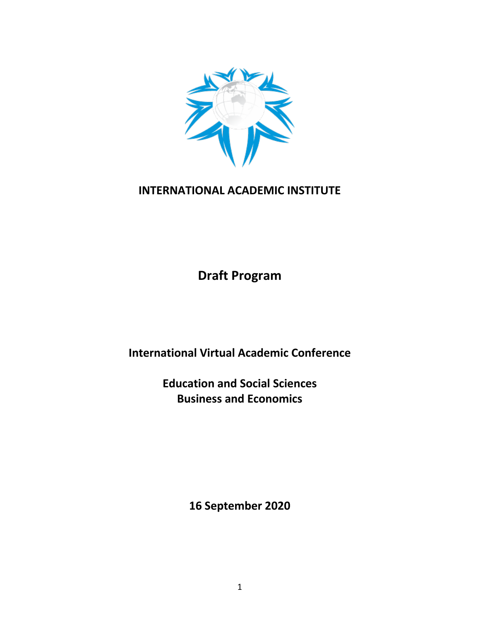

# **INTERNATIONAL ACADEMIC INSTITUTE**

**Draft Program**

**International Virtual Academic Conference**

**Education and Social Sciences Business and Economics**

**16 September 2020**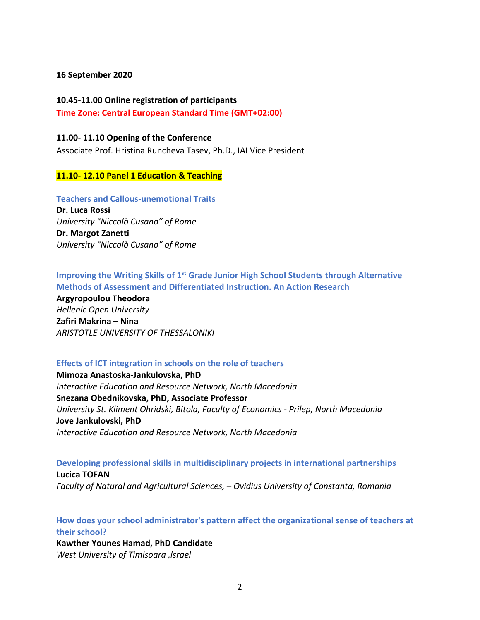#### **16 September 2020**

# **10.45-11.00 Online registration of participants Time Zone: Central European Standard Time (GMT+02:00)**

### **11.00- 11.10 Opening of the Conference**

Associate Prof. Hristina Runcheva Tasev, Ph.D., IAI Vice President

## **11.10- 12.10 Panel 1 Education & Teaching**

**Teachers and Callous-unemotional Traits Dr. Luca Rossi**  *University "Niccolò Cusano" of Rome* **Dr. Margot Zanetti** *University "Niccolò Cusano" of Rome*

# **Improving the Writing Skills of 1st Grade Junior High School Students through Alternative Methods of Assessment and Differentiated Instruction. An Action Research**

**Argyropoulou Theodora** *Hellenic Open University* **Zafiri Makrina – Nina** *ARISTOTLE UNIVERSITY OF THESSALONIKI*

# **Effects of ICT integration in schools on the role of teachers**

**Mimoza Anastoska-Jankulovska, PhD**  *Interactive Education and Resource Network, North Macedonia* **Snezana Obednikovska, PhD, Associate Professor** *University St. Kliment Ohridski, Bitola, Faculty of Economics - Prilep, North Macedonia* **Jove Jankulovski, PhD** *Interactive Education and Resource Network, North Macedonia*

**Developing professional skills in multidisciplinary projects in international partnerships Lucica TOFAN** *Faculty of Natural and Agricultural Sciences, – Ovidius University of Constanta, Romania*

**How does your school administrator's pattern affect the organizational sense of teachers at their school?** 

**Kawther Younes Hamad, PhD Candidate** *West University of Timisoara ,lsrael*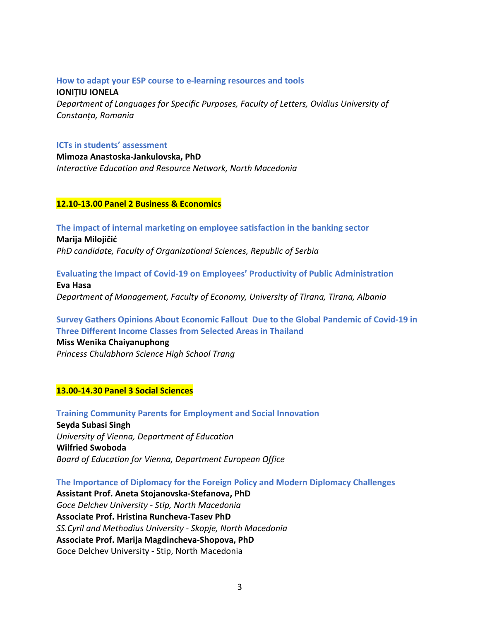#### **How to adapt your ESP course to e-learning resources and tools**

**IONIȚIU IONELA** *Department of Languages for Specific Purposes, Faculty of Letters, Ovidius University of Constanța, Romania*

#### **ICTs in students' assessment**

**Mimoza Anastoska-Jankulovska, PhD**  *Interactive Education and Resource Network, North Macedonia*

#### **12.10-13.00 Panel 2 Business & Economics**

**The impact of internal marketing on employee satisfaction in the banking sector Marija Milojičić**

*PhD candidate, Faculty of Organizational Sciences, Republic of Serbia*

**Evaluating the Impact of Covid-19 on Employees' Productivity of Public Administration**

**Eva Hasa** *Department of Management, Faculty of Economy, University of Tirana, Tirana, Albania* 

**Survey Gathers Opinions About Economic Fallout Due to the Global Pandemic of Covid-19 in Three Different Income Classes from Selected Areas in Thailand**

**Miss Wenika Chaiyanuphong** *Princess Chulabhorn Science High School Trang*

#### **13.00-14.30 Panel 3 Social Sciences**

**Training Community Parents for Employment and Social Innovation Seyda Subasi Singh** *University of Vienna, Department of Education*  **Wilfried Swoboda** *Board of Education for Vienna, Department European Office*

**The Importance of Diplomacy for the Foreign Policy and Modern Diplomacy Challenges**

**Assistant Prof. Aneta Stojanovska-Stefanova, PhD** *Goce Delchev University - Stip, North Macedonia* **Associate Prof. Hristina Runcheva-Tasev PhD** *SS.Cyril and Methodius University - Skopje, North Macedonia* **Associate Prof. Marija Magdincheva-Shopova, PhD** Goce Delchev University - Stip, North Macedonia